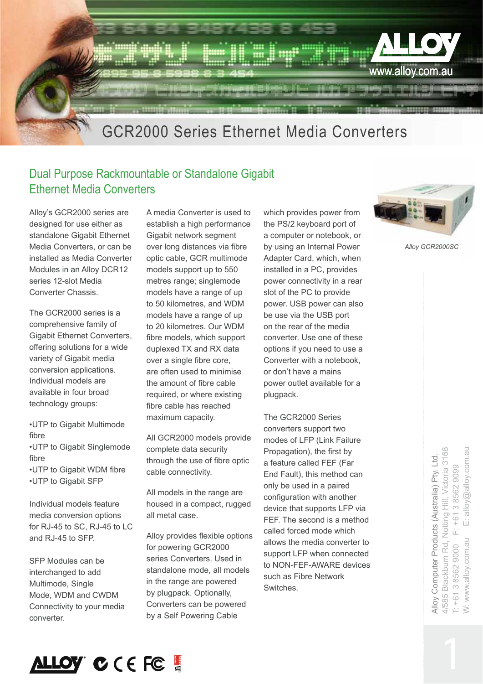

## Dual Purpose Rackmountable or Standalone Gigabit Ethernet Media Converters

Alloy's GCR2000 series are designed for use either as standalone Gigabit Ethernet Media Converters, or can be installed as Media Converter Modules in an Alloy DCR12 series 12-slot Media Converter Chassis.

The GCR2000 series is a comprehensive family of Gigabit Ethernet Converters, offering solutions for a wide variety of Gigabit media conversion applications. Individual models are available in four broad technology groups:

•UTP to Gigabit Multimode fibre •UTP to Gigabit Singlemode fibre •UTP to Gigabit WDM fibre •UTP to Gigabit SFP

Individual models feature media conversion options for RJ-45 to SC, RJ-45 to LC and RJ-45 to SFP.

SFP Modules can be interchanged to add Multimode, Single Mode, WDM and CWDM Connectivity to your media converter.

A media Converter is used to establish a high performance Gigabit network segment over long distances via fibre optic cable, GCR multimode models support up to 550 metres range; singlemode models have a range of up to 50 kilometres, and WDM models have a range of up to 20 kilometres. Our WDM fibre models, which support duplexed TX and RX data over a single fibre core, are often used to minimise the amount of fibre cable required, or where existing fibre cable has reached maximum capacity.

All GCR2000 models provide complete data security through the use of fibre optic cable connectivity.

All models in the range are housed in a compact, rugged all metal case.

Alloy provides flexible options for powering GCR2000 series Converters. Used in standalone mode, all models in the range are powered by plugpack. Optionally, Converters can be powered by a Self Powering Cable

which provides power from the PS/2 keyboard port of a computer or notebook, or by using an Internal Power Adapter Card, which, when installed in a PC, provides power connectivity in a rear slot of the PC to provide power. USB power can also be use via the USB port on the rear of the media converter. Use one of these options if you need to use a Converter with a notebook, or don't have a mains power outlet available for a plugpack.

The GCR2000 Series converters support two modes of LFP (Link Failure Propagation), the first by a feature called FEF (Far End Fault), this method can only be used in a paired configuration with another device that supports LFP via FEF. The second is a method called forced mode which allows the media converter to support LFP when connected to NON-FEF-AWARE devices such as Fibre Network Switches.



*Alloy GCR2000SC*